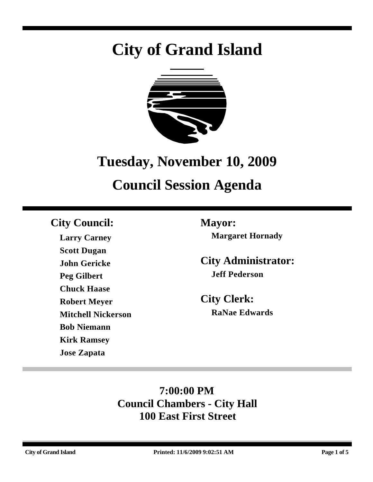# **City of Grand Island**



## **Tuesday, November 10, 2009**

# **Council Session Agenda**

### **City Council: Mayor:**

**Larry Carney Scott Dugan John Gericke Peg Gilbert Chuck Haase Robert Meyer Mitchell Nickerson Bob Niemann Kirk Ramsey Jose Zapata**

**Margaret Hornady**

**City Administrator: Jeff Pederson**

**City Clerk: RaNae Edwards**

### **7:00:00 PM Council Chambers - City Hall 100 East First Street**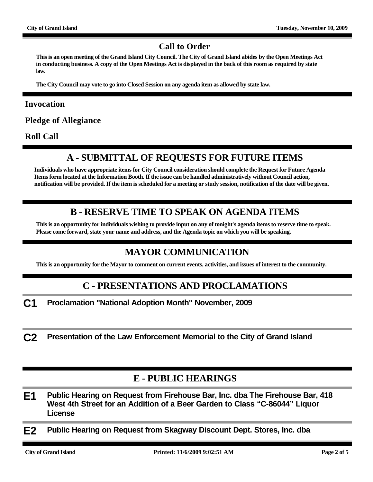#### **Call to Order**

**This is an open meeting of the Grand Island City Council. The City of Grand Island abides by the Open Meetings Act in conducting business. A copy of the Open Meetings Act is displayed in the back of this room as required by state law.**

**The City Council may vote to go into Closed Session on any agenda item as allowed by state law.**

#### **Invocation**

**Pledge of Allegiance**

**Roll Call**

#### **A - SUBMITTAL OF REQUESTS FOR FUTURE ITEMS**

**Individuals who have appropriate items for City Council consideration should complete the Request for Future Agenda Items form located at the Information Booth. If the issue can be handled administratively without Council action, notification will be provided. If the item is scheduled for a meeting or study session, notification of the date will be given.**

#### **B - RESERVE TIME TO SPEAK ON AGENDA ITEMS**

**This is an opportunity for individuals wishing to provide input on any of tonight's agenda items to reserve time to speak. Please come forward, state your name and address, and the Agenda topic on which you will be speaking.**

#### **MAYOR COMMUNICATION**

**This is an opportunity for the Mayor to comment on current events, activities, and issues of interest to the community.**

#### **C - PRESENTATIONS AND PROCLAMATIONS**

**C1 Proclamation "National Adoption Month" November, 2009**

**C2 Presentation of the Law Enforcement Memorial to the City of Grand Island**

#### **E - PUBLIC HEARINGS**

- **E1 Public Hearing on Request from Firehouse Bar, Inc. dba The Firehouse Bar, 418 West 4th Street for an Addition of a Beer Garden to Class "C-86044" Liquor License**
- **E2 Public Hearing on Request from Skagway Discount Dept. Stores, Inc. dba**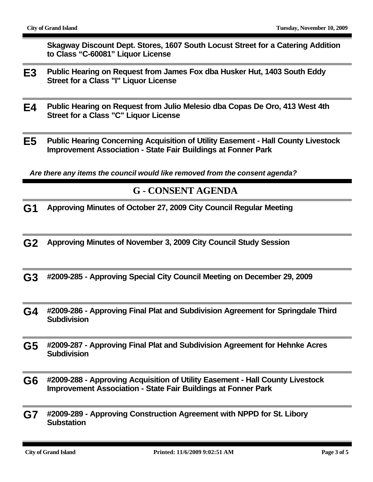**Skagway Discount Dept. Stores, 1607 South Locust Street for a Catering Addition to Class "C-60081" Liquor License**

- **E3 Public Hearing on Request from James Fox dba Husker Hut, 1403 South Eddy Street for a Class "I" Liquor License**
- **E4 Public Hearing on Request from Julio Melesio dba Copas De Oro, 413 West 4th Street for a Class "C" Liquor License**
- **E5 Public Hearing Concerning Acquisition of Utility Easement Hall County Livestock Improvement Association - State Fair Buildings at Fonner Park**

*Are there any items the council would like removed from the consent agenda?*

#### **G - CONSENT AGENDA**

- **G1 Approving Minutes of October 27, 2009 City Council Regular Meeting**
- **G2 Approving Minutes of November 3, 2009 City Council Study Session**
- **G3 #2009-285 Approving Special City Council Meeting on December 29, 2009**
- **G4 #2009-286 Approving Final Plat and Subdivision Agreement for Springdale Third Subdivision**
- **G5 #2009-287 Approving Final Plat and Subdivision Agreement for Hehnke Acres Subdivision**
- **G6 #2009-288 Approving Acquisition of Utility Easement Hall County Livestock Improvement Association - State Fair Buildings at Fonner Park**
- **G7 #2009-289 Approving Construction Agreement with NPPD for St. Libory Substation**